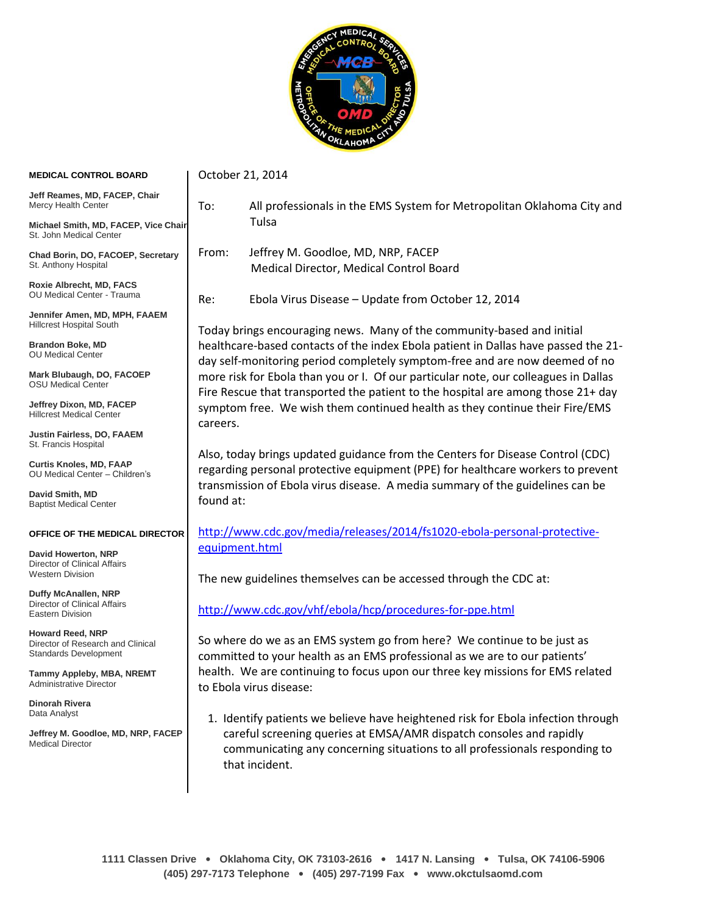

## **MEDICAL CONTROL BOARD**

October 21, 2014

**Jeff Reames, MD, FACEP, Chair** Mercy Health Center

**Michael Smith, MD, FACEP, Vice Chair** St. John Medical Center

**Chad Borin, DO, FACOEP, Secretary** St. Anthony Hospital

**Roxie Albrecht, MD, FACS** OU Medical Center - Trauma

**Jennifer Amen, MD, MPH, FAAEM** Hillcrest Hospital South

**Brandon Boke, MD** OU Medical Center

**Mark Blubaugh, DO, FACOEP** OSU Medical Center

**Jeffrey Dixon, MD, FACEP** Hillcrest Medical Center

**Justin Fairless, DO, FAAEM** St. Francis Hospital

**Curtis Knoles, MD, FAAP** OU Medical Center – Children's

**David Smith, MD** Baptist Medical Center

## **OFFICE OF THE MEDICAL DIRECTOR**

**David Howerton, NRP** Director of Clinical Affairs Western Division

**Duffy McAnallen, NRP** Director of Clinical Affairs Eastern Division

**Howard Reed, NRP** Director of Research and Clinical Standards Development

**Tammy Appleby, MBA, NREMT** Administrative Director

**Dinorah Rivera** Data Analyst

**Jeffrey M. Goodloe, MD, NRP, FACEP** Medical Director

- To: All professionals in the EMS System for Metropolitan Oklahoma City and Tulsa
- From: Jeffrey M. Goodloe, MD, NRP, FACEP Medical Director, Medical Control Board

Re: Ebola Virus Disease – Update from October 12, 2014

Today brings encouraging news. Many of the community-based and initial healthcare-based contacts of the index Ebola patient in Dallas have passed the 21 day self-monitoring period completely symptom-free and are now deemed of no more risk for Ebola than you or I. Of our particular note, our colleagues in Dallas Fire Rescue that transported the patient to the hospital are among those 21+ day symptom free. We wish them continued health as they continue their Fire/EMS careers.

Also, today brings updated guidance from the Centers for Disease Control (CDC) regarding personal protective equipment (PPE) for healthcare workers to prevent transmission of Ebola virus disease. A media summary of the guidelines can be found at:

[http://www.cdc.gov/media/releases/2014/fs1020-ebola-personal-protective](https://webmail.ouhsc.edu/owa/redir.aspx?C=xyxIH4RhgkWCRHXbES-qscjr8GsLwdEI49JhmL1sOaPT8xPDdzcL3Chk5de9X-Wx16NLoHHwH7s.&URL=https%3a%2f%2furldefense.proofpoint.com%2fv1%2furl%3fu%3dhttp%3a%2f%2fwww.cdc.gov%2fmedia%2freleases%2f2014%2ffs1020-ebola-personal-protective-equipment.html%26k%3d7DHVT22D9IhC0F3WohFMBA%253D%253D%250A%26r%3dT4sRuT%252FJszZdJgdATUTi0ltriKtvjP3iGadPhNAMnOs%253D%250A%26m%3ddh97f8TPb8FYcoJNMXTUa%252FFdL4Ylhy4YH2DkbCdJO0w%253D%250A%26s%3d0554b9437f283c249ad5c5a2564170eae757e9ce656202f5da5cb7d1824bc092)[equipment.html](https://webmail.ouhsc.edu/owa/redir.aspx?C=xyxIH4RhgkWCRHXbES-qscjr8GsLwdEI49JhmL1sOaPT8xPDdzcL3Chk5de9X-Wx16NLoHHwH7s.&URL=https%3a%2f%2furldefense.proofpoint.com%2fv1%2furl%3fu%3dhttp%3a%2f%2fwww.cdc.gov%2fmedia%2freleases%2f2014%2ffs1020-ebola-personal-protective-equipment.html%26k%3d7DHVT22D9IhC0F3WohFMBA%253D%253D%250A%26r%3dT4sRuT%252FJszZdJgdATUTi0ltriKtvjP3iGadPhNAMnOs%253D%250A%26m%3ddh97f8TPb8FYcoJNMXTUa%252FFdL4Ylhy4YH2DkbCdJO0w%253D%250A%26s%3d0554b9437f283c249ad5c5a2564170eae757e9ce656202f5da5cb7d1824bc092)

The new guidelines themselves can be accessed through the CDC at:

<http://www.cdc.gov/vhf/ebola/hcp/procedures-for-ppe.html>

So where do we as an EMS system go from here? We continue to be just as committed to your health as an EMS professional as we are to our patients' health. We are continuing to focus upon our three key missions for EMS related to Ebola virus disease:

1. Identify patients we believe have heightened risk for Ebola infection through careful screening queries at EMSA/AMR dispatch consoles and rapidly communicating any concerning situations to all professionals responding to that incident.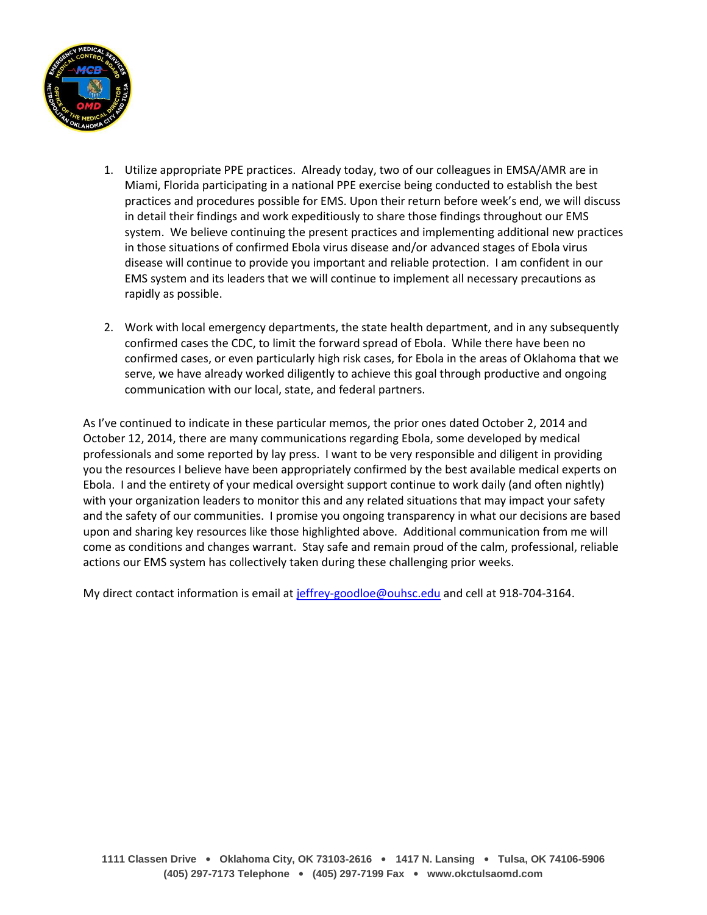

- 1. Utilize appropriate PPE practices. Already today, two of our colleagues in EMSA/AMR are in Miami, Florida participating in a national PPE exercise being conducted to establish the best practices and procedures possible for EMS. Upon their return before week's end, we will discuss in detail their findings and work expeditiously to share those findings throughout our EMS system. We believe continuing the present practices and implementing additional new practices in those situations of confirmed Ebola virus disease and/or advanced stages of Ebola virus disease will continue to provide you important and reliable protection. I am confident in our EMS system and its leaders that we will continue to implement all necessary precautions as rapidly as possible.
- 2. Work with local emergency departments, the state health department, and in any subsequently confirmed cases the CDC, to limit the forward spread of Ebola. While there have been no confirmed cases, or even particularly high risk cases, for Ebola in the areas of Oklahoma that we serve, we have already worked diligently to achieve this goal through productive and ongoing communication with our local, state, and federal partners.

As I've continued to indicate in these particular memos, the prior ones dated October 2, 2014 and October 12, 2014, there are many communications regarding Ebola, some developed by medical professionals and some reported by lay press. I want to be very responsible and diligent in providing you the resources I believe have been appropriately confirmed by the best available medical experts on Ebola. I and the entirety of your medical oversight support continue to work daily (and often nightly) with your organization leaders to monitor this and any related situations that may impact your safety and the safety of our communities. I promise you ongoing transparency in what our decisions are based upon and sharing key resources like those highlighted above. Additional communication from me will come as conditions and changes warrant. Stay safe and remain proud of the calm, professional, reliable actions our EMS system has collectively taken during these challenging prior weeks.

My direct contact information is email at [jeffrey-goodloe@ouhsc.edu](mailto:jeffrey-goodloe@ouhsc.edu) and cell at 918-704-3164.